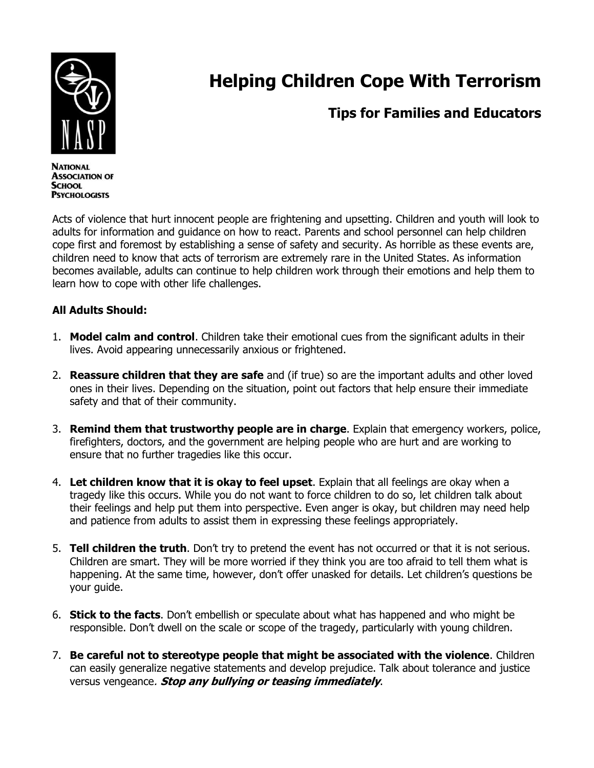

## **Helping Children Cope With Terrorism**

## **Tips for Families and Educators**

**NATIONAL ASSOCIATION OF SCHOOL PSYCHOLOGISTS** 

Acts of violence that hurt innocent people are frightening and upsetting. Children and youth will look to adults for information and guidance on how to react. Parents and school personnel can help children cope first and foremost by establishing a sense of safety and security. As horrible as these events are, children need to know that acts of terrorism are extremely rare in the United States. As information becomes available, adults can continue to help children work through their emotions and help them to learn how to cope with other life challenges.

## **All Adults Should:**

- 1. **Model calm and control**. Children take their emotional cues from the significant adults in their lives. Avoid appearing unnecessarily anxious or frightened.
- 2. **Reassure children that they are safe** and (if true) so are the important adults and other loved ones in their lives. Depending on the situation, point out factors that help ensure their immediate safety and that of their community.
- 3. **Remind them that trustworthy people are in charge**. Explain that emergency workers, police, firefighters, doctors, and the government are helping people who are hurt and are working to ensure that no further tragedies like this occur.
- 4. **Let children know that it is okay to feel upset**. Explain that all feelings are okay when a tragedy like this occurs. While you do not want to force children to do so, let children talk about their feelings and help put them into perspective. Even anger is okay, but children may need help and patience from adults to assist them in expressing these feelings appropriately.
- 5. **Tell children the truth**. Don't try to pretend the event has not occurred or that it is not serious. Children are smart. They will be more worried if they think you are too afraid to tell them what is happening. At the same time, however, don't offer unasked for details. Let children's questions be your guide.
- 6. **Stick to the facts**. Don't embellish or speculate about what has happened and who might be responsible. Don't dwell on the scale or scope of the tragedy, particularly with young children.
- 7. **Be careful not to stereotype people that might be associated with the violence**. Children can easily generalize negative statements and develop prejudice. Talk about tolerance and justice versus vengeance. **Stop any bullying or teasing immediately**.